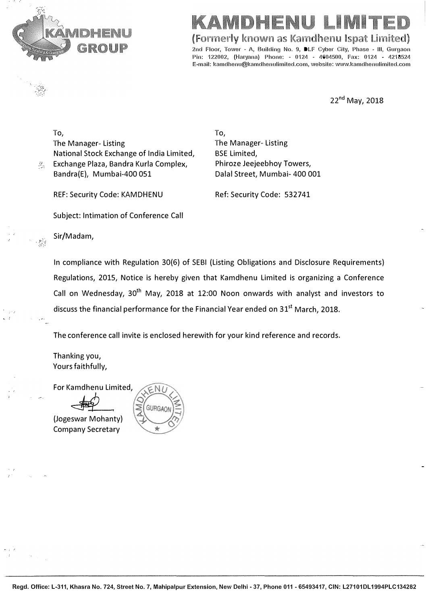

KAMDHENU IMI.

**(Formerly known as Kamdhenu lspat Limited)**  2nd Floor, Tower - A, Building No. 9, DLF Cyber City, Phase - Ill, Gurgaon Pin: 122002, (Haryana) Phone: - 0124 - 4604500, Fax: 0124 - 4218524 E-mail: kamdhenu@kamdhenulimited.com, website: www.kamdhenulimited.com

**22nd May, 2018**

To, The Manager- Listing National Stock Exchange of India Limited, Exchange Plaza, Bandra Kurla Complex, Bandra(E), Mumbai-400 051

To, The Manager- Listing BSE Limited, Phiroze Jeejeebhoy Towers, Dalal Street, Mumbai- 400 001

REF: Security Code: KAMDHENU Ref: Security Code: 532741

Subject: Intimation of Conference Call

Sir/Madam,

 $M_{\rm{BH}}$ 

In compliance with Regulation 30{6) of SEBI (Listing Obligations and Disclosure Requirements) Regulations, 2015, Notice is hereby given that Kamdhenu Limited is organizing a Conference Call on Wednesday, 30<sup>th</sup> May, 2018 at 12:00 Noon onwards with analyst and investors to discuss the financial performance for the Financial Year ended on 31<sup>st</sup> March, 2018.

The conference call invite is enclosed herewith for your kind reference and records.

Thanking you, Yours faithfully,

For Kamdhenu Limited,

(Jogeswar Mohanty) Company Secretary